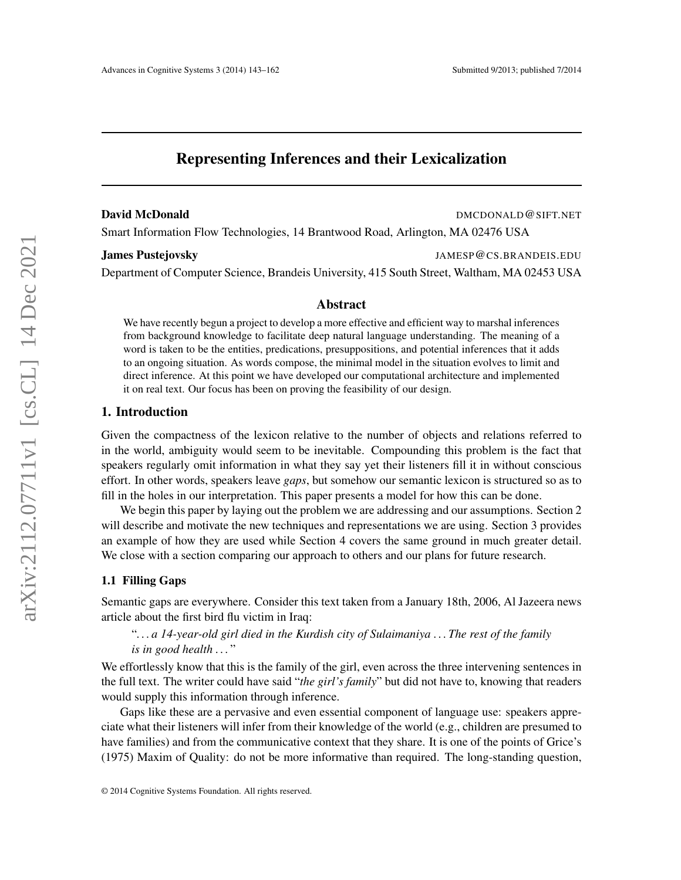# Representing Inferences and their Lexicalization

**David McDonald DMCDONALD@SIFT.NET** 

Smart Information Flow Technologies, 14 Brantwood Road, Arlington, MA 02476 USA

James Pustejovsky JAMESP@CS.BRANDEIS.EDU

Department of Computer Science, Brandeis University, 415 South Street, Waltham, MA 02453 USA

#### Abstract

We have recently begun a project to develop a more effective and efficient way to marshal inferences from background knowledge to facilitate deep natural language understanding. The meaning of a word is taken to be the entities, predications, presuppositions, and potential inferences that it adds to an ongoing situation. As words compose, the minimal model in the situation evolves to limit and direct inference. At this point we have developed our computational architecture and implemented it on real text. Our focus has been on proving the feasibility of our design.

#### 1. Introduction

Given the compactness of the lexicon relative to the number of objects and relations referred to in the world, ambiguity would seem to be inevitable. Compounding this problem is the fact that speakers regularly omit information in what they say yet their listeners fill it in without conscious effort. In other words, speakers leave *gaps*, but somehow our semantic lexicon is structured so as to fill in the holes in our interpretation. This paper presents a model for how this can be done.

We begin this paper by laying out the problem we are addressing and our assumptions. Section 2 will describe and motivate the new techniques and representations we are using. Section 3 provides an example of how they are used while Section 4 covers the same ground in much greater detail. We close with a section comparing our approach to others and our plans for future research.

#### 1.1 Filling Gaps

Semantic gaps are everywhere. Consider this text taken from a January 18th, 2006, Al Jazeera news article about the first bird flu victim in Iraq:

# "*. . . a 14-year-old girl died in the Kurdish city of Sulaimaniya . . . The rest of the family is in good health . . .* "

We effortlessly know that this is the family of the girl, even across the three intervening sentences in the full text. The writer could have said "*the girl's family*" but did not have to, knowing that readers would supply this information through inference.

Gaps like these are a pervasive and even essential component of language use: speakers appreciate what their listeners will infer from their knowledge of the world (e.g., children are presumed to have families) and from the communicative context that they share. It is one of the points of Grice's (1975) Maxim of Quality: do not be more informative than required. The long-standing question,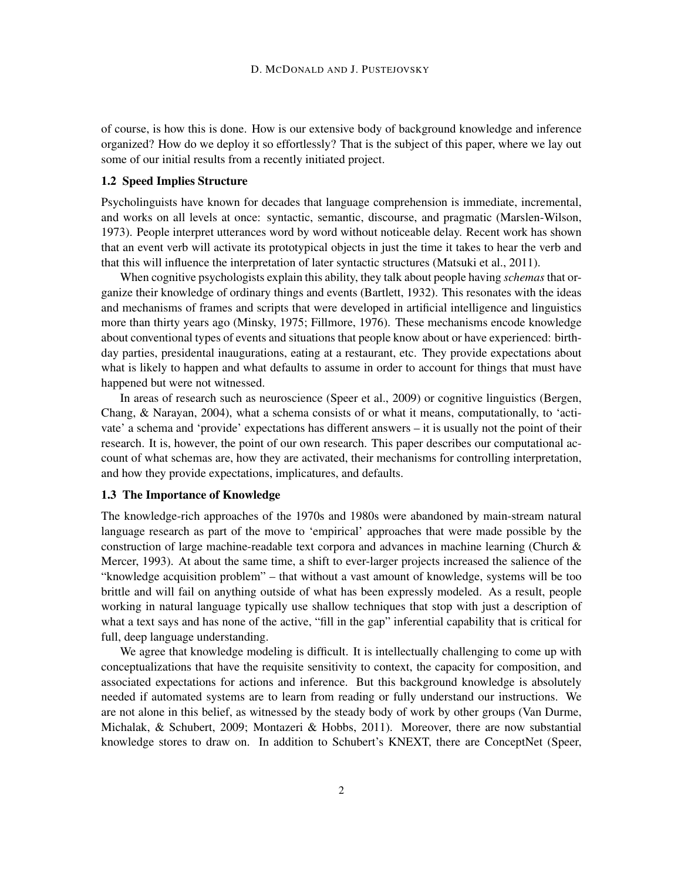of course, is how this is done. How is our extensive body of background knowledge and inference organized? How do we deploy it so effortlessly? That is the subject of this paper, where we lay out some of our initial results from a recently initiated project.

## 1.2 Speed Implies Structure

Psycholinguists have known for decades that language comprehension is immediate, incremental, and works on all levels at once: syntactic, semantic, discourse, and pragmatic (Marslen-Wilson, 1973). People interpret utterances word by word without noticeable delay. Recent work has shown that an event verb will activate its prototypical objects in just the time it takes to hear the verb and that this will influence the interpretation of later syntactic structures (Matsuki et al., 2011).

When cognitive psychologists explain this ability, they talk about people having *schemas* that organize their knowledge of ordinary things and events (Bartlett, 1932). This resonates with the ideas and mechanisms of frames and scripts that were developed in artificial intelligence and linguistics more than thirty years ago (Minsky, 1975; Fillmore, 1976). These mechanisms encode knowledge about conventional types of events and situations that people know about or have experienced: birthday parties, presidental inaugurations, eating at a restaurant, etc. They provide expectations about what is likely to happen and what defaults to assume in order to account for things that must have happened but were not witnessed.

In areas of research such as neuroscience (Speer et al., 2009) or cognitive linguistics (Bergen, Chang, & Narayan, 2004), what a schema consists of or what it means, computationally, to 'activate' a schema and 'provide' expectations has different answers – it is usually not the point of their research. It is, however, the point of our own research. This paper describes our computational account of what schemas are, how they are activated, their mechanisms for controlling interpretation, and how they provide expectations, implicatures, and defaults.

#### 1.3 The Importance of Knowledge

The knowledge-rich approaches of the 1970s and 1980s were abandoned by main-stream natural language research as part of the move to 'empirical' approaches that were made possible by the construction of large machine-readable text corpora and advances in machine learning (Church & Mercer, 1993). At about the same time, a shift to ever-larger projects increased the salience of the "knowledge acquisition problem" – that without a vast amount of knowledge, systems will be too brittle and will fail on anything outside of what has been expressly modeled. As a result, people working in natural language typically use shallow techniques that stop with just a description of what a text says and has none of the active, "fill in the gap" inferential capability that is critical for full, deep language understanding.

We agree that knowledge modeling is difficult. It is intellectually challenging to come up with conceptualizations that have the requisite sensitivity to context, the capacity for composition, and associated expectations for actions and inference. But this background knowledge is absolutely needed if automated systems are to learn from reading or fully understand our instructions. We are not alone in this belief, as witnessed by the steady body of work by other groups (Van Durme, Michalak, & Schubert, 2009; Montazeri & Hobbs, 2011). Moreover, there are now substantial knowledge stores to draw on. In addition to Schubert's KNEXT, there are ConceptNet (Speer,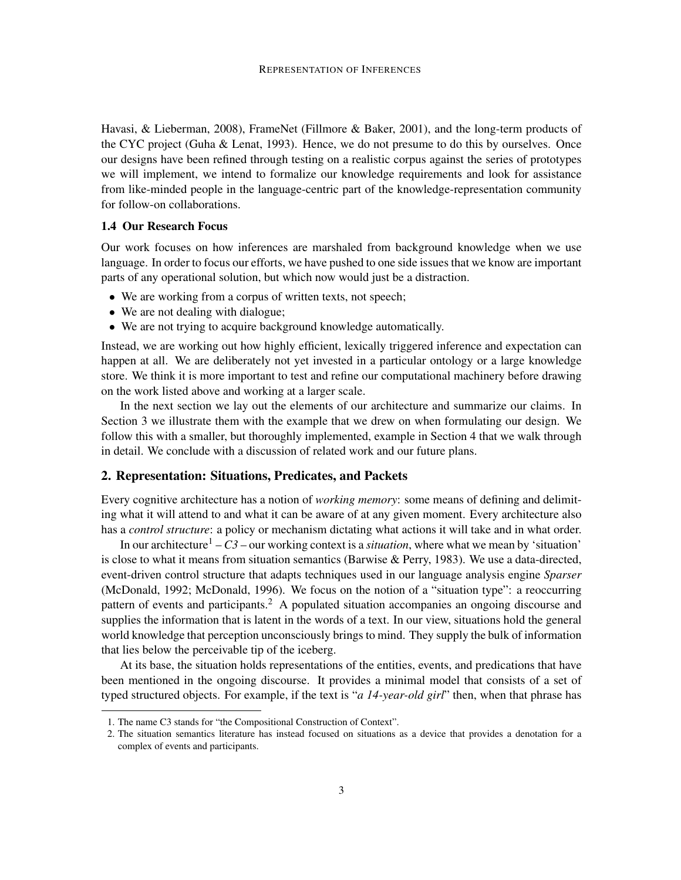Havasi, & Lieberman, 2008), FrameNet (Fillmore & Baker, 2001), and the long-term products of the CYC project (Guha & Lenat, 1993). Hence, we do not presume to do this by ourselves. Once our designs have been refined through testing on a realistic corpus against the series of prototypes we will implement, we intend to formalize our knowledge requirements and look for assistance from like-minded people in the language-centric part of the knowledge-representation community for follow-on collaborations.

#### 1.4 Our Research Focus

Our work focuses on how inferences are marshaled from background knowledge when we use language. In order to focus our efforts, we have pushed to one side issues that we know are important parts of any operational solution, but which now would just be a distraction.

- We are working from a corpus of written texts, not speech;
- We are not dealing with dialogue;
- We are not trying to acquire background knowledge automatically.

Instead, we are working out how highly efficient, lexically triggered inference and expectation can happen at all. We are deliberately not yet invested in a particular ontology or a large knowledge store. We think it is more important to test and refine our computational machinery before drawing on the work listed above and working at a larger scale.

In the next section we lay out the elements of our architecture and summarize our claims. In Section 3 we illustrate them with the example that we drew on when formulating our design. We follow this with a smaller, but thoroughly implemented, example in Section 4 that we walk through in detail. We conclude with a discussion of related work and our future plans.

# 2. Representation: Situations, Predicates, and Packets

Every cognitive architecture has a notion of *working memory*: some means of defining and delimiting what it will attend to and what it can be aware of at any given moment. Every architecture also has a *control structure*: a policy or mechanism dictating what actions it will take and in what order.

In our architecture<sup>1</sup> –  $C3$  – our working context is a *situation*, where what we mean by 'situation' is close to what it means from situation semantics (Barwise & Perry, 1983). We use a data-directed, event-driven control structure that adapts techniques used in our language analysis engine *Sparser* (McDonald, 1992; McDonald, 1996). We focus on the notion of a "situation type": a reoccurring pattern of events and participants.<sup>2</sup> A populated situation accompanies an ongoing discourse and supplies the information that is latent in the words of a text. In our view, situations hold the general world knowledge that perception unconsciously brings to mind. They supply the bulk of information that lies below the perceivable tip of the iceberg.

At its base, the situation holds representations of the entities, events, and predications that have been mentioned in the ongoing discourse. It provides a minimal model that consists of a set of typed structured objects. For example, if the text is "*a 14-year-old girl*" then, when that phrase has

<sup>1.</sup> The name C3 stands for "the Compositional Construction of Context".

<sup>2.</sup> The situation semantics literature has instead focused on situations as a device that provides a denotation for a complex of events and participants.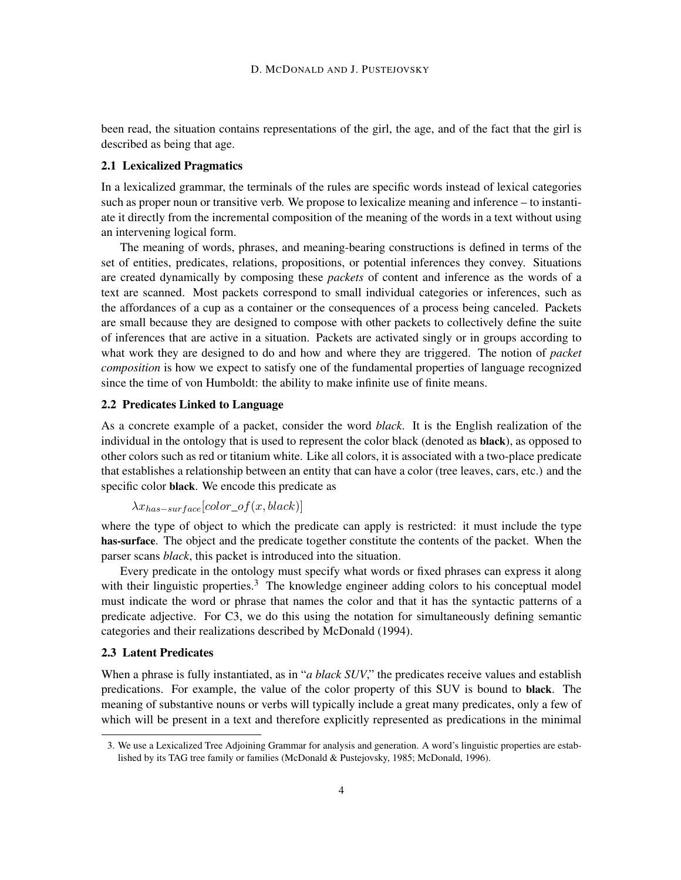been read, the situation contains representations of the girl, the age, and of the fact that the girl is described as being that age.

#### 2.1 Lexicalized Pragmatics

In a lexicalized grammar, the terminals of the rules are specific words instead of lexical categories such as proper noun or transitive verb. We propose to lexicalize meaning and inference – to instantiate it directly from the incremental composition of the meaning of the words in a text without using an intervening logical form.

The meaning of words, phrases, and meaning-bearing constructions is defined in terms of the set of entities, predicates, relations, propositions, or potential inferences they convey. Situations are created dynamically by composing these *packets* of content and inference as the words of a text are scanned. Most packets correspond to small individual categories or inferences, such as the affordances of a cup as a container or the consequences of a process being canceled. Packets are small because they are designed to compose with other packets to collectively define the suite of inferences that are active in a situation. Packets are activated singly or in groups according to what work they are designed to do and how and where they are triggered. The notion of *packet composition* is how we expect to satisfy one of the fundamental properties of language recognized since the time of von Humboldt: the ability to make infinite use of finite means.

## 2.2 Predicates Linked to Language

As a concrete example of a packet, consider the word *black*. It is the English realization of the individual in the ontology that is used to represent the color black (denoted as black), as opposed to other colors such as red or titanium white. Like all colors, it is associated with a two-place predicate that establishes a relationship between an entity that can have a color (tree leaves, cars, etc.) and the specific color black. We encode this predicate as

```
\lambda x_{has-surface}[color\_of(x,black)]
```
where the type of object to which the predicate can apply is restricted: it must include the type has-surface. The object and the predicate together constitute the contents of the packet. When the parser scans *black*, this packet is introduced into the situation.

Every predicate in the ontology must specify what words or fixed phrases can express it along with their linguistic properties.<sup>3</sup> The knowledge engineer adding colors to his conceptual model must indicate the word or phrase that names the color and that it has the syntactic patterns of a predicate adjective. For C3, we do this using the notation for simultaneously defining semantic categories and their realizations described by McDonald (1994).

#### 2.3 Latent Predicates

When a phrase is fully instantiated, as in "*a black SUV*," the predicates receive values and establish predications. For example, the value of the color property of this SUV is bound to black. The meaning of substantive nouns or verbs will typically include a great many predicates, only a few of which will be present in a text and therefore explicitly represented as predications in the minimal

<sup>3.</sup> We use a Lexicalized Tree Adjoining Grammar for analysis and generation. A word's linguistic properties are established by its TAG tree family or families (McDonald & Pustejovsky, 1985; McDonald, 1996).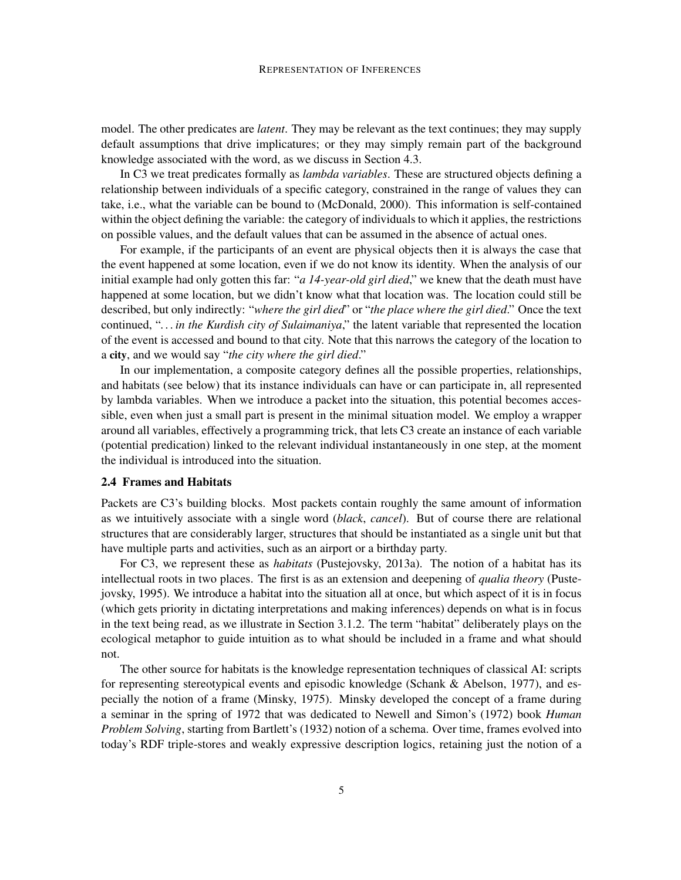model. The other predicates are *latent*. They may be relevant as the text continues; they may supply default assumptions that drive implicatures; or they may simply remain part of the background knowledge associated with the word, as we discuss in Section 4.3.

In C3 we treat predicates formally as *lambda variables*. These are structured objects defining a relationship between individuals of a specific category, constrained in the range of values they can take, i.e., what the variable can be bound to (McDonald, 2000). This information is self-contained within the object defining the variable: the category of individuals to which it applies, the restrictions on possible values, and the default values that can be assumed in the absence of actual ones.

For example, if the participants of an event are physical objects then it is always the case that the event happened at some location, even if we do not know its identity. When the analysis of our initial example had only gotten this far: "*a 14-year-old girl died*," we knew that the death must have happened at some location, but we didn't know what that location was. The location could still be described, but only indirectly: "*where the girl died*" or "*the place where the girl died*." Once the text continued, "*. . . in the Kurdish city of Sulaimaniya*," the latent variable that represented the location of the event is accessed and bound to that city. Note that this narrows the category of the location to a city, and we would say "*the city where the girl died*."

In our implementation, a composite category defines all the possible properties, relationships, and habitats (see below) that its instance individuals can have or can participate in, all represented by lambda variables. When we introduce a packet into the situation, this potential becomes accessible, even when just a small part is present in the minimal situation model. We employ a wrapper around all variables, effectively a programming trick, that lets C3 create an instance of each variable (potential predication) linked to the relevant individual instantaneously in one step, at the moment the individual is introduced into the situation.

## 2.4 Frames and Habitats

Packets are C3's building blocks. Most packets contain roughly the same amount of information as we intuitively associate with a single word (*black*, *cancel*). But of course there are relational structures that are considerably larger, structures that should be instantiated as a single unit but that have multiple parts and activities, such as an airport or a birthday party.

For C3, we represent these as *habitats* (Pustejovsky, 2013a). The notion of a habitat has its intellectual roots in two places. The first is as an extension and deepening of *qualia theory* (Pustejovsky, 1995). We introduce a habitat into the situation all at once, but which aspect of it is in focus (which gets priority in dictating interpretations and making inferences) depends on what is in focus in the text being read, as we illustrate in Section 3.1.2. The term "habitat" deliberately plays on the ecological metaphor to guide intuition as to what should be included in a frame and what should not.

The other source for habitats is the knowledge representation techniques of classical AI: scripts for representing stereotypical events and episodic knowledge (Schank & Abelson, 1977), and especially the notion of a frame (Minsky, 1975). Minsky developed the concept of a frame during a seminar in the spring of 1972 that was dedicated to Newell and Simon's (1972) book *Human Problem Solving*, starting from Bartlett's (1932) notion of a schema. Over time, frames evolved into today's RDF triple-stores and weakly expressive description logics, retaining just the notion of a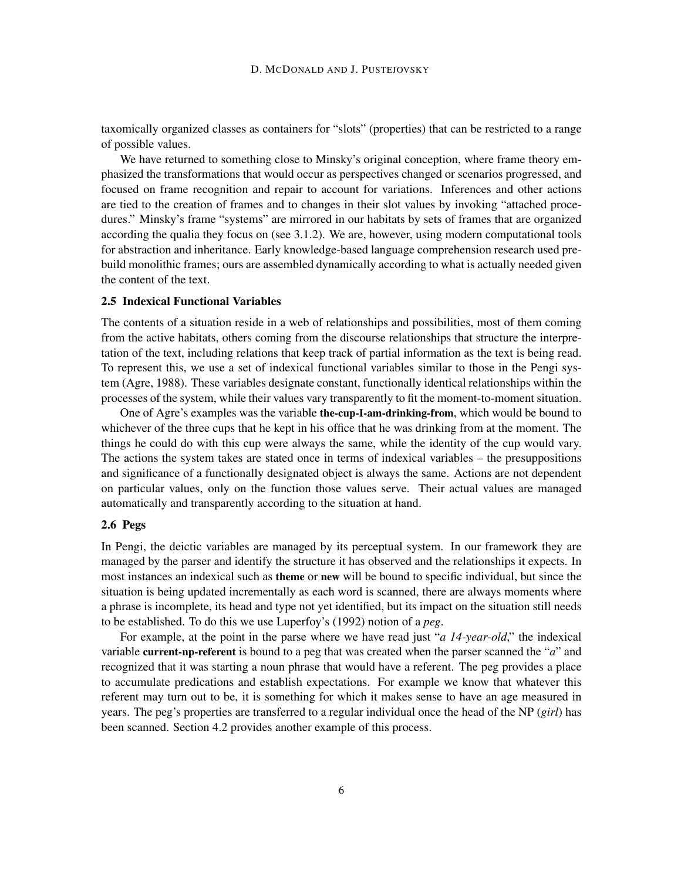taxomically organized classes as containers for "slots" (properties) that can be restricted to a range of possible values.

We have returned to something close to Minsky's original conception, where frame theory emphasized the transformations that would occur as perspectives changed or scenarios progressed, and focused on frame recognition and repair to account for variations. Inferences and other actions are tied to the creation of frames and to changes in their slot values by invoking "attached procedures." Minsky's frame "systems" are mirrored in our habitats by sets of frames that are organized according the qualia they focus on (see 3.1.2). We are, however, using modern computational tools for abstraction and inheritance. Early knowledge-based language comprehension research used prebuild monolithic frames; ours are assembled dynamically according to what is actually needed given the content of the text.

#### 2.5 Indexical Functional Variables

The contents of a situation reside in a web of relationships and possibilities, most of them coming from the active habitats, others coming from the discourse relationships that structure the interpretation of the text, including relations that keep track of partial information as the text is being read. To represent this, we use a set of indexical functional variables similar to those in the Pengi system (Agre, 1988). These variables designate constant, functionally identical relationships within the processes of the system, while their values vary transparently to fit the moment-to-moment situation.

One of Agre's examples was the variable the-cup-I-am-drinking-from, which would be bound to whichever of the three cups that he kept in his office that he was drinking from at the moment. The things he could do with this cup were always the same, while the identity of the cup would vary. The actions the system takes are stated once in terms of indexical variables – the presuppositions and significance of a functionally designated object is always the same. Actions are not dependent on particular values, only on the function those values serve. Their actual values are managed automatically and transparently according to the situation at hand.

#### 2.6 Pegs

In Pengi, the deictic variables are managed by its perceptual system. In our framework they are managed by the parser and identify the structure it has observed and the relationships it expects. In most instances an indexical such as theme or new will be bound to specific individual, but since the situation is being updated incrementally as each word is scanned, there are always moments where a phrase is incomplete, its head and type not yet identified, but its impact on the situation still needs to be established. To do this we use Luperfoy's (1992) notion of a *peg*.

For example, at the point in the parse where we have read just "*a 14-year-old*," the indexical variable current-np-referent is bound to a peg that was created when the parser scanned the "*a*" and recognized that it was starting a noun phrase that would have a referent. The peg provides a place to accumulate predications and establish expectations. For example we know that whatever this referent may turn out to be, it is something for which it makes sense to have an age measured in years. The peg's properties are transferred to a regular individual once the head of the NP (*girl*) has been scanned. Section 4.2 provides another example of this process.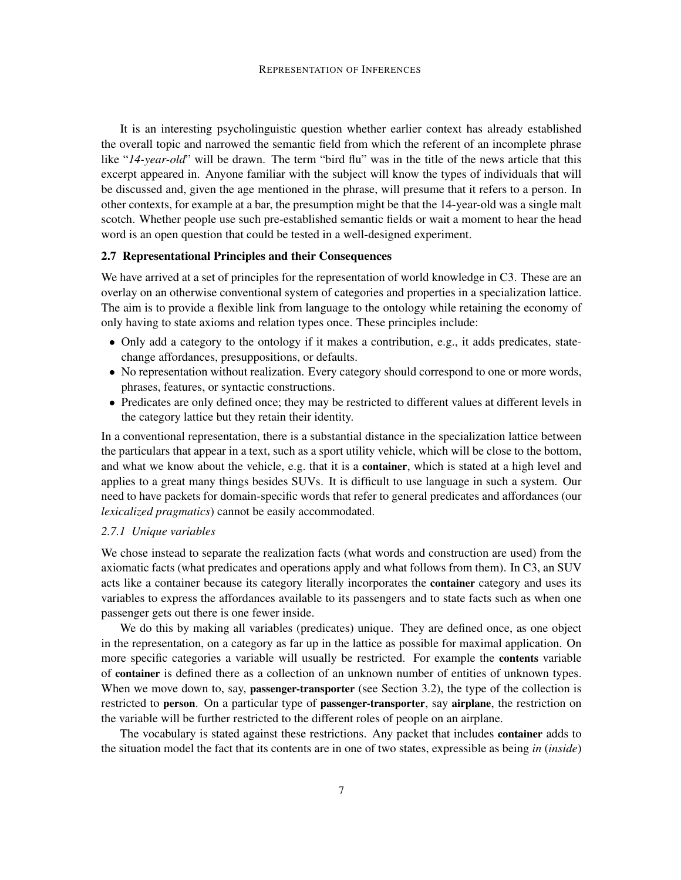It is an interesting psycholinguistic question whether earlier context has already established the overall topic and narrowed the semantic field from which the referent of an incomplete phrase like "*14-year-old*" will be drawn. The term "bird flu" was in the title of the news article that this excerpt appeared in. Anyone familiar with the subject will know the types of individuals that will be discussed and, given the age mentioned in the phrase, will presume that it refers to a person. In other contexts, for example at a bar, the presumption might be that the 14-year-old was a single malt scotch. Whether people use such pre-established semantic fields or wait a moment to hear the head word is an open question that could be tested in a well-designed experiment.

## 2.7 Representational Principles and their Consequences

We have arrived at a set of principles for the representation of world knowledge in C3. These are an overlay on an otherwise conventional system of categories and properties in a specialization lattice. The aim is to provide a flexible link from language to the ontology while retaining the economy of only having to state axioms and relation types once. These principles include:

- Only add a category to the ontology if it makes a contribution, e.g., it adds predicates, statechange affordances, presuppositions, or defaults.
- No representation without realization. Every category should correspond to one or more words, phrases, features, or syntactic constructions.
- Predicates are only defined once; they may be restricted to different values at different levels in the category lattice but they retain their identity.

In a conventional representation, there is a substantial distance in the specialization lattice between the particulars that appear in a text, such as a sport utility vehicle, which will be close to the bottom, and what we know about the vehicle, e.g. that it is a container, which is stated at a high level and applies to a great many things besides SUVs. It is difficult to use language in such a system. Our need to have packets for domain-specific words that refer to general predicates and affordances (our *lexicalized pragmatics*) cannot be easily accommodated.

## *2.7.1 Unique variables*

We chose instead to separate the realization facts (what words and construction are used) from the axiomatic facts (what predicates and operations apply and what follows from them). In C3, an SUV acts like a container because its category literally incorporates the container category and uses its variables to express the affordances available to its passengers and to state facts such as when one passenger gets out there is one fewer inside.

We do this by making all variables (predicates) unique. They are defined once, as one object in the representation, on a category as far up in the lattice as possible for maximal application. On more specific categories a variable will usually be restricted. For example the contents variable of container is defined there as a collection of an unknown number of entities of unknown types. When we move down to, say, **passenger-transporter** (see Section 3.2), the type of the collection is restricted to person. On a particular type of passenger-transporter, say airplane, the restriction on the variable will be further restricted to the different roles of people on an airplane.

The vocabulary is stated against these restrictions. Any packet that includes container adds to the situation model the fact that its contents are in one of two states, expressible as being *in* (*inside*)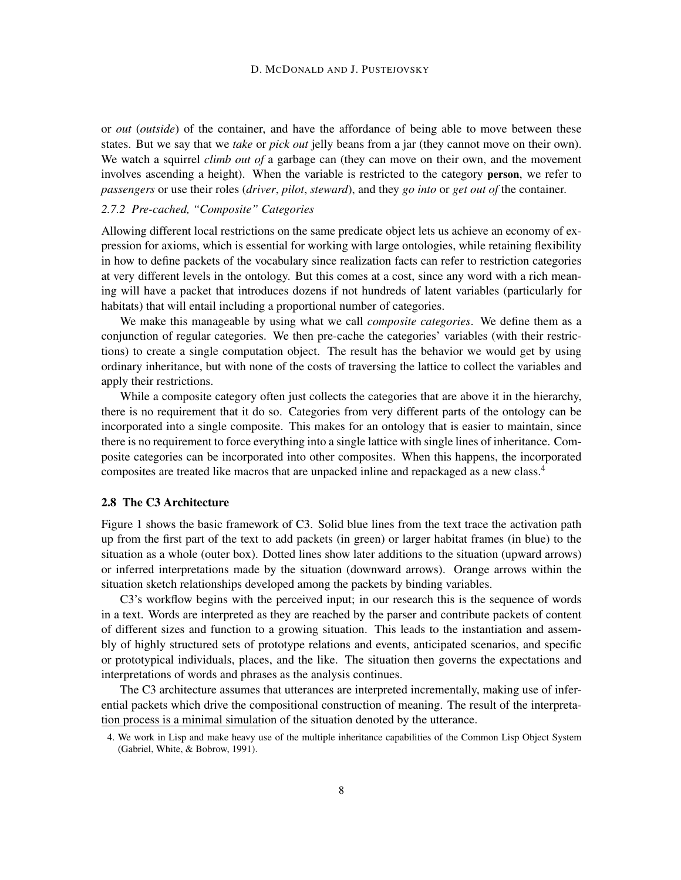or *out* (*outside*) of the container, and have the affordance of being able to move between these states. But we say that we *take* or *pick out* jelly beans from a jar (they cannot move on their own). We watch a squirrel *climb out of* a garbage can (they can move on their own, and the movement involves ascending a height). When the variable is restricted to the category person, we refer to *passengers* or use their roles (*driver*, *pilot*, *steward*), and they *go into* or *get out of* the container.

#### *2.7.2 Pre-cached, "Composite" Categories*

Allowing different local restrictions on the same predicate object lets us achieve an economy of expression for axioms, which is essential for working with large ontologies, while retaining flexibility in how to define packets of the vocabulary since realization facts can refer to restriction categories at very different levels in the ontology. But this comes at a cost, since any word with a rich meaning will have a packet that introduces dozens if not hundreds of latent variables (particularly for habitats) that will entail including a proportional number of categories.

We make this manageable by using what we call *composite categories*. We define them as a conjunction of regular categories. We then pre-cache the categories' variables (with their restrictions) to create a single computation object. The result has the behavior we would get by using ordinary inheritance, but with none of the costs of traversing the lattice to collect the variables and apply their restrictions.

While a composite category often just collects the categories that are above it in the hierarchy, there is no requirement that it do so. Categories from very different parts of the ontology can be incorporated into a single composite. This makes for an ontology that is easier to maintain, since there is no requirement to force everything into a single lattice with single lines of inheritance. Composite categories can be incorporated into other composites. When this happens, the incorporated composites are treated like macros that are unpacked inline and repackaged as a new class.<sup>4</sup>

## 2.8 The C3 Architecture

Figure 1 shows the basic framework of C3. Solid blue lines from the text trace the activation path up from the first part of the text to add packets (in green) or larger habitat frames (in blue) to the situation as a whole (outer box). Dotted lines show later additions to the situation (upward arrows) or inferred interpretations made by the situation (downward arrows). Orange arrows within the situation sketch relationships developed among the packets by binding variables.

C3's workflow begins with the perceived input; in our research this is the sequence of words in a text. Words are interpreted as they are reached by the parser and contribute packets of content of different sizes and function to a growing situation. This leads to the instantiation and assembly of highly structured sets of prototype relations and events, anticipated scenarios, and specific or prototypical individuals, places, and the like. The situation then governs the expectations and interpretations of words and phrases as the analysis continues.

The C3 architecture assumes that utterances are interpreted incrementally, making use of inferential packets which drive the compositional construction of meaning. The result of the interpretation process is a minimal simulation of the situation denoted by the utterance.

<sup>4.</sup> We work in Lisp and make heavy use of the multiple inheritance capabilities of the Common Lisp Object System (Gabriel, White, & Bobrow, 1991).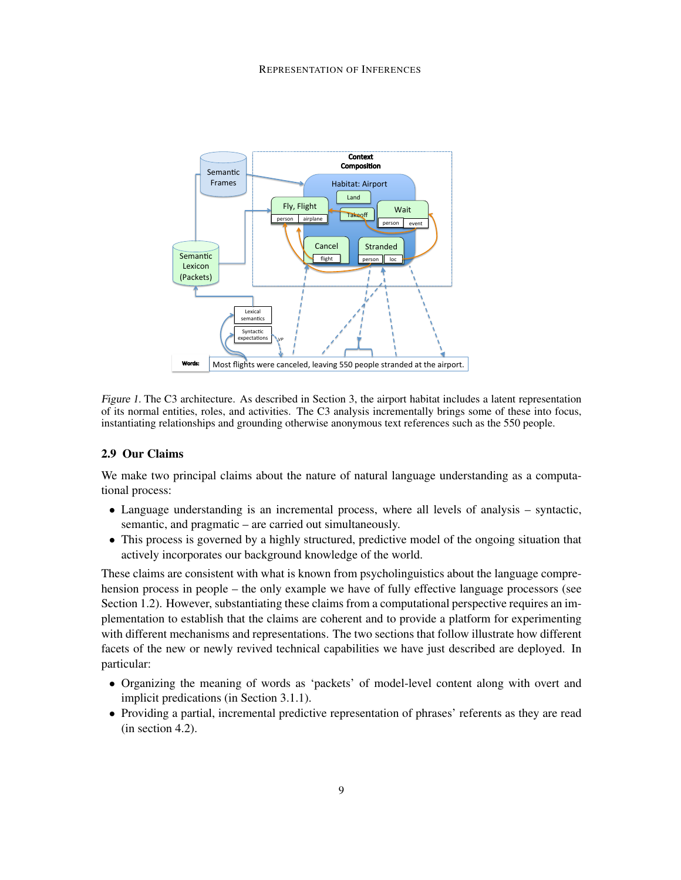

Figure 1. The C3 architecture. As described in Section 3, the airport habitat includes a latent representation of its normal entities, roles, and activities. The C3 analysis incrementally brings some of these into focus, instantiating relationships and grounding otherwise anonymous text references such as the 550 people.

## 2.9 Our Claims

We make two principal claims about the nature of natural language understanding as a computational process:

- Language understanding is an incremental process, where all levels of analysis syntactic, semantic, and pragmatic – are carried out simultaneously.
- This process is governed by a highly structured, predictive model of the ongoing situation that actively incorporates our background knowledge of the world.

These claims are consistent with what is known from psycholinguistics about the language comprehension process in people – the only example we have of fully effective language processors (see Section 1.2). However, substantiating these claims from a computational perspective requires an implementation to establish that the claims are coherent and to provide a platform for experimenting with different mechanisms and representations. The two sections that follow illustrate how different facets of the new or newly revived technical capabilities we have just described are deployed. In particular:

- Organizing the meaning of words as 'packets' of model-level content along with overt and implicit predications (in Section 3.1.1).
- Providing a partial, incremental predictive representation of phrases' referents as they are read (in section 4.2).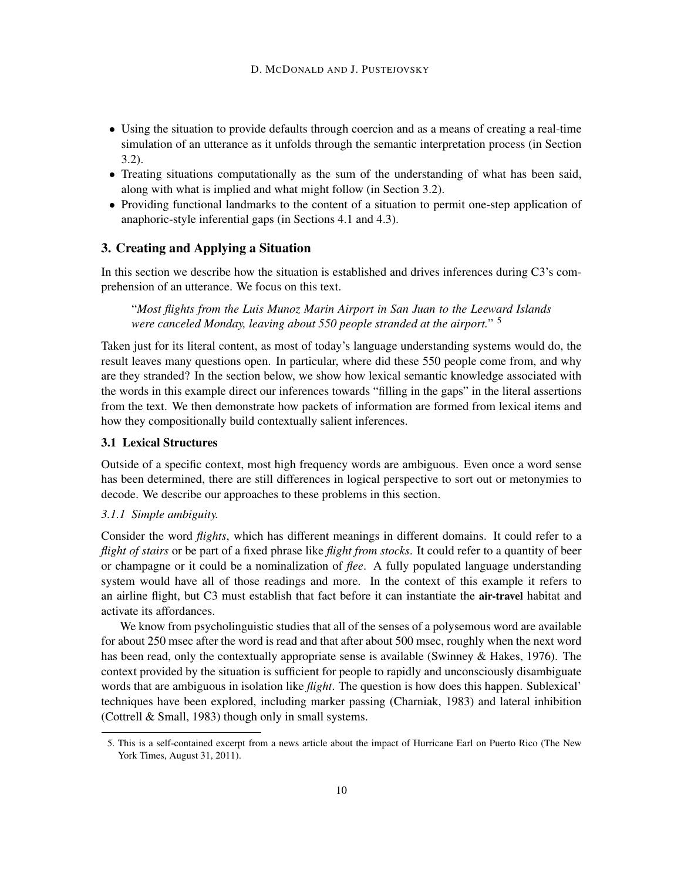- Using the situation to provide defaults through coercion and as a means of creating a real-time simulation of an utterance as it unfolds through the semantic interpretation process (in Section 3.2).
- Treating situations computationally as the sum of the understanding of what has been said, along with what is implied and what might follow (in Section 3.2).
- Providing functional landmarks to the content of a situation to permit one-step application of anaphoric-style inferential gaps (in Sections 4.1 and 4.3).

## 3. Creating and Applying a Situation

In this section we describe how the situation is established and drives inferences during C3's comprehension of an utterance. We focus on this text.

"*Most flights from the Luis Munoz Marin Airport in San Juan to the Leeward Islands were canceled Monday, leaving about 550 people stranded at the airport.*" 5

Taken just for its literal content, as most of today's language understanding systems would do, the result leaves many questions open. In particular, where did these 550 people come from, and why are they stranded? In the section below, we show how lexical semantic knowledge associated with the words in this example direct our inferences towards "filling in the gaps" in the literal assertions from the text. We then demonstrate how packets of information are formed from lexical items and how they compositionally build contextually salient inferences.

#### 3.1 Lexical Structures

Outside of a specific context, most high frequency words are ambiguous. Even once a word sense has been determined, there are still differences in logical perspective to sort out or metonymies to decode. We describe our approaches to these problems in this section.

## *3.1.1 Simple ambiguity.*

Consider the word *flights*, which has different meanings in different domains. It could refer to a *flight of stairs* or be part of a fixed phrase like *flight from stocks*. It could refer to a quantity of beer or champagne or it could be a nominalization of *flee*. A fully populated language understanding system would have all of those readings and more. In the context of this example it refers to an airline flight, but C3 must establish that fact before it can instantiate the air-travel habitat and activate its affordances.

We know from psycholinguistic studies that all of the senses of a polysemous word are available for about 250 msec after the word is read and that after about 500 msec, roughly when the next word has been read, only the contextually appropriate sense is available (Swinney & Hakes, 1976). The context provided by the situation is sufficient for people to rapidly and unconsciously disambiguate words that are ambiguous in isolation like *flight*. The question is how does this happen. Sublexical' techniques have been explored, including marker passing (Charniak, 1983) and lateral inhibition (Cottrell & Small, 1983) though only in small systems.

<sup>5.</sup> This is a self-contained excerpt from a news article about the impact of Hurricane Earl on Puerto Rico (The New York Times, August 31, 2011).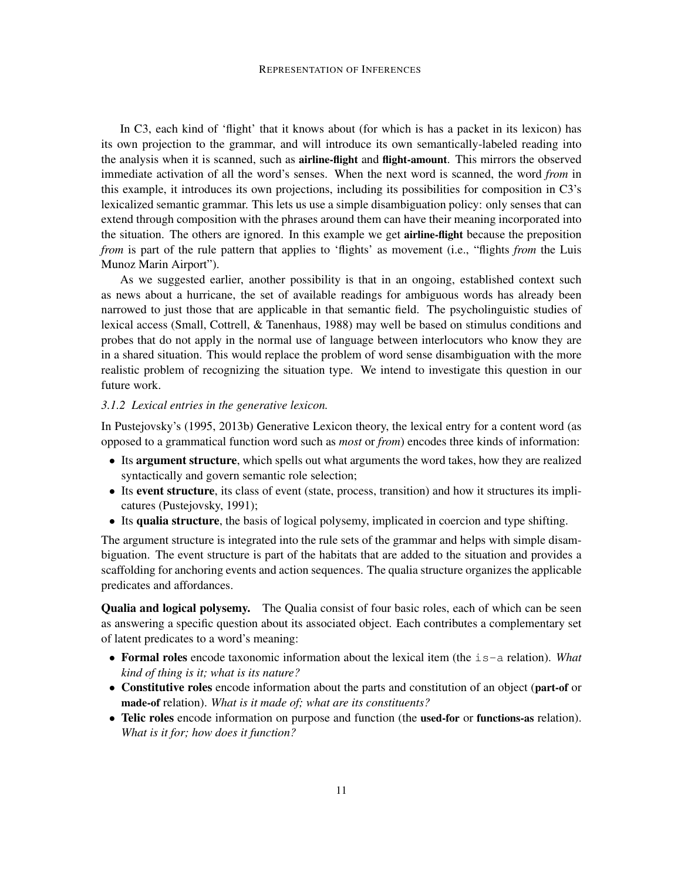In C3, each kind of 'flight' that it knows about (for which is has a packet in its lexicon) has its own projection to the grammar, and will introduce its own semantically-labeled reading into the analysis when it is scanned, such as airline-flight and flight-amount. This mirrors the observed immediate activation of all the word's senses. When the next word is scanned, the word *from* in this example, it introduces its own projections, including its possibilities for composition in C3's lexicalized semantic grammar. This lets us use a simple disambiguation policy: only senses that can extend through composition with the phrases around them can have their meaning incorporated into the situation. The others are ignored. In this example we get airline-flight because the preposition *from* is part of the rule pattern that applies to 'flights' as movement (i.e., "flights *from* the Luis Munoz Marin Airport").

As we suggested earlier, another possibility is that in an ongoing, established context such as news about a hurricane, the set of available readings for ambiguous words has already been narrowed to just those that are applicable in that semantic field. The psycholinguistic studies of lexical access (Small, Cottrell, & Tanenhaus, 1988) may well be based on stimulus conditions and probes that do not apply in the normal use of language between interlocutors who know they are in a shared situation. This would replace the problem of word sense disambiguation with the more realistic problem of recognizing the situation type. We intend to investigate this question in our future work.

#### *3.1.2 Lexical entries in the generative lexicon.*

In Pustejovsky's (1995, 2013b) Generative Lexicon theory, the lexical entry for a content word (as opposed to a grammatical function word such as *most* or *from*) encodes three kinds of information:

- Its argument structure, which spells out what arguments the word takes, how they are realized syntactically and govern semantic role selection;
- Its event structure, its class of event (state, process, transition) and how it structures its implicatures (Pustejovsky, 1991);
- Its qualia structure, the basis of logical polysemy, implicated in coercion and type shifting.

The argument structure is integrated into the rule sets of the grammar and helps with simple disambiguation. The event structure is part of the habitats that are added to the situation and provides a scaffolding for anchoring events and action sequences. The qualia structure organizes the applicable predicates and affordances.

Qualia and logical polysemy. The Qualia consist of four basic roles, each of which can be seen as answering a specific question about its associated object. Each contributes a complementary set of latent predicates to a word's meaning:

- Formal roles encode taxonomic information about the lexical item (the is-a relation). *What kind of thing is it; what is its nature?*
- Constitutive roles encode information about the parts and constitution of an object (part-of or made-of relation). *What is it made of; what are its constituents?*
- Telic roles encode information on purpose and function (the used-for or functions-as relation). *What is it for; how does it function?*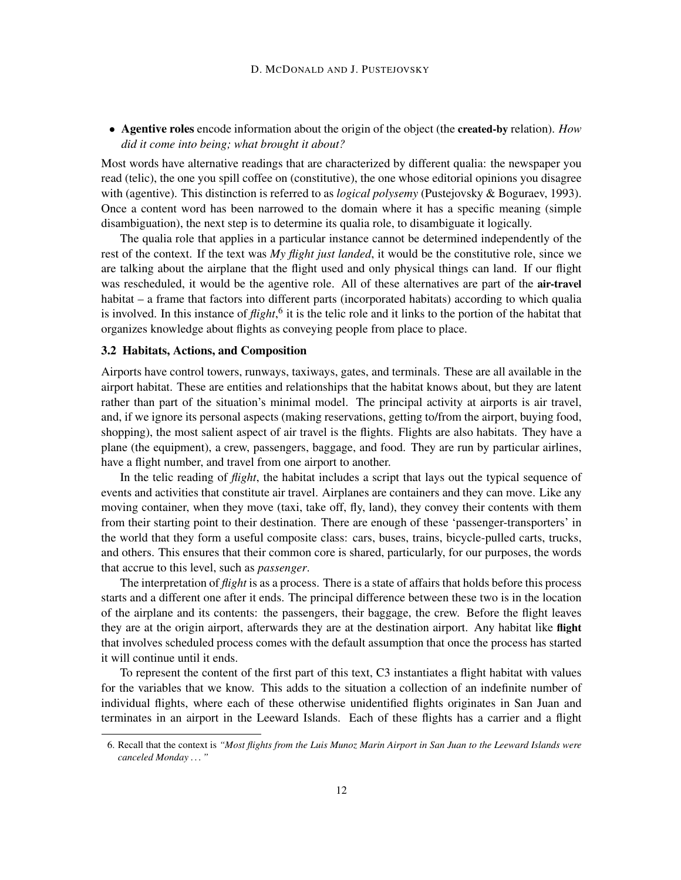• Agentive roles encode information about the origin of the object (the created-by relation). *How did it come into being; what brought it about?*

Most words have alternative readings that are characterized by different qualia: the newspaper you read (telic), the one you spill coffee on (constitutive), the one whose editorial opinions you disagree with (agentive). This distinction is referred to as *logical polysemy* (Pustejovsky & Boguraev, 1993). Once a content word has been narrowed to the domain where it has a specific meaning (simple disambiguation), the next step is to determine its qualia role, to disambiguate it logically.

The qualia role that applies in a particular instance cannot be determined independently of the rest of the context. If the text was *My flight just landed*, it would be the constitutive role, since we are talking about the airplane that the flight used and only physical things can land. If our flight was rescheduled, it would be the agentive role. All of these alternatives are part of the **air-travel** habitat – a frame that factors into different parts (incorporated habitats) according to which qualia is involved. In this instance of *flight*,<sup>6</sup> it is the telic role and it links to the portion of the habitat that organizes knowledge about flights as conveying people from place to place.

#### 3.2 Habitats, Actions, and Composition

Airports have control towers, runways, taxiways, gates, and terminals. These are all available in the airport habitat. These are entities and relationships that the habitat knows about, but they are latent rather than part of the situation's minimal model. The principal activity at airports is air travel, and, if we ignore its personal aspects (making reservations, getting to/from the airport, buying food, shopping), the most salient aspect of air travel is the flights. Flights are also habitats. They have a plane (the equipment), a crew, passengers, baggage, and food. They are run by particular airlines, have a flight number, and travel from one airport to another.

In the telic reading of *flight*, the habitat includes a script that lays out the typical sequence of events and activities that constitute air travel. Airplanes are containers and they can move. Like any moving container, when they move (taxi, take off, fly, land), they convey their contents with them from their starting point to their destination. There are enough of these 'passenger-transporters' in the world that they form a useful composite class: cars, buses, trains, bicycle-pulled carts, trucks, and others. This ensures that their common core is shared, particularly, for our purposes, the words that accrue to this level, such as *passenger*.

The interpretation of *flight* is as a process. There is a state of affairs that holds before this process starts and a different one after it ends. The principal difference between these two is in the location of the airplane and its contents: the passengers, their baggage, the crew. Before the flight leaves they are at the origin airport, afterwards they are at the destination airport. Any habitat like flight that involves scheduled process comes with the default assumption that once the process has started it will continue until it ends.

To represent the content of the first part of this text, C3 instantiates a flight habitat with values for the variables that we know. This adds to the situation a collection of an indefinite number of individual flights, where each of these otherwise unidentified flights originates in San Juan and terminates in an airport in the Leeward Islands. Each of these flights has a carrier and a flight

<sup>6.</sup> Recall that the context is *"Most flights from the Luis Munoz Marin Airport in San Juan to the Leeward Islands were canceled Monday . . . "*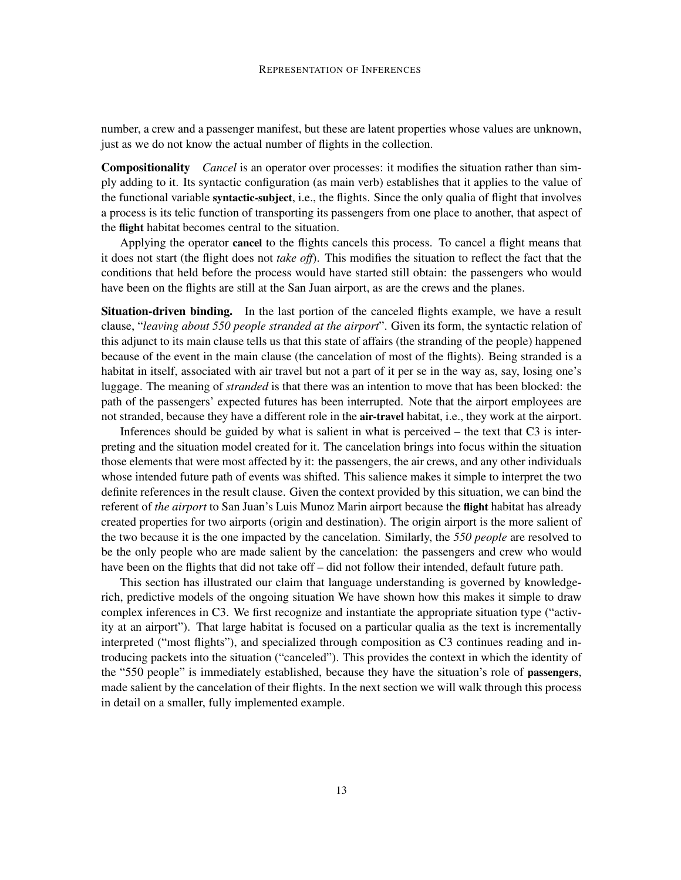number, a crew and a passenger manifest, but these are latent properties whose values are unknown, just as we do not know the actual number of flights in the collection.

Compositionality *Cancel* is an operator over processes: it modifies the situation rather than simply adding to it. Its syntactic configuration (as main verb) establishes that it applies to the value of the functional variable syntactic-subject, i.e., the flights. Since the only qualia of flight that involves a process is its telic function of transporting its passengers from one place to another, that aspect of the flight habitat becomes central to the situation.

Applying the operator cancel to the flights cancels this process. To cancel a flight means that it does not start (the flight does not *take off*). This modifies the situation to reflect the fact that the conditions that held before the process would have started still obtain: the passengers who would have been on the flights are still at the San Juan airport, as are the crews and the planes.

Situation-driven binding. In the last portion of the canceled flights example, we have a result clause, "*leaving about 550 people stranded at the airport*". Given its form, the syntactic relation of this adjunct to its main clause tells us that this state of affairs (the stranding of the people) happened because of the event in the main clause (the cancelation of most of the flights). Being stranded is a habitat in itself, associated with air travel but not a part of it per se in the way as, say, losing one's luggage. The meaning of *stranded* is that there was an intention to move that has been blocked: the path of the passengers' expected futures has been interrupted. Note that the airport employees are not stranded, because they have a different role in the air-travel habitat, i.e., they work at the airport.

Inferences should be guided by what is salient in what is perceived – the text that C3 is interpreting and the situation model created for it. The cancelation brings into focus within the situation those elements that were most affected by it: the passengers, the air crews, and any other individuals whose intended future path of events was shifted. This salience makes it simple to interpret the two definite references in the result clause. Given the context provided by this situation, we can bind the referent of *the airport* to San Juan's Luis Munoz Marin airport because the flight habitat has already created properties for two airports (origin and destination). The origin airport is the more salient of the two because it is the one impacted by the cancelation. Similarly, the *550 people* are resolved to be the only people who are made salient by the cancelation: the passengers and crew who would have been on the flights that did not take off – did not follow their intended, default future path.

This section has illustrated our claim that language understanding is governed by knowledgerich, predictive models of the ongoing situation We have shown how this makes it simple to draw complex inferences in C3. We first recognize and instantiate the appropriate situation type ("activity at an airport"). That large habitat is focused on a particular qualia as the text is incrementally interpreted ("most flights"), and specialized through composition as C3 continues reading and introducing packets into the situation ("canceled"). This provides the context in which the identity of the "550 people" is immediately established, because they have the situation's role of passengers, made salient by the cancelation of their flights. In the next section we will walk through this process in detail on a smaller, fully implemented example.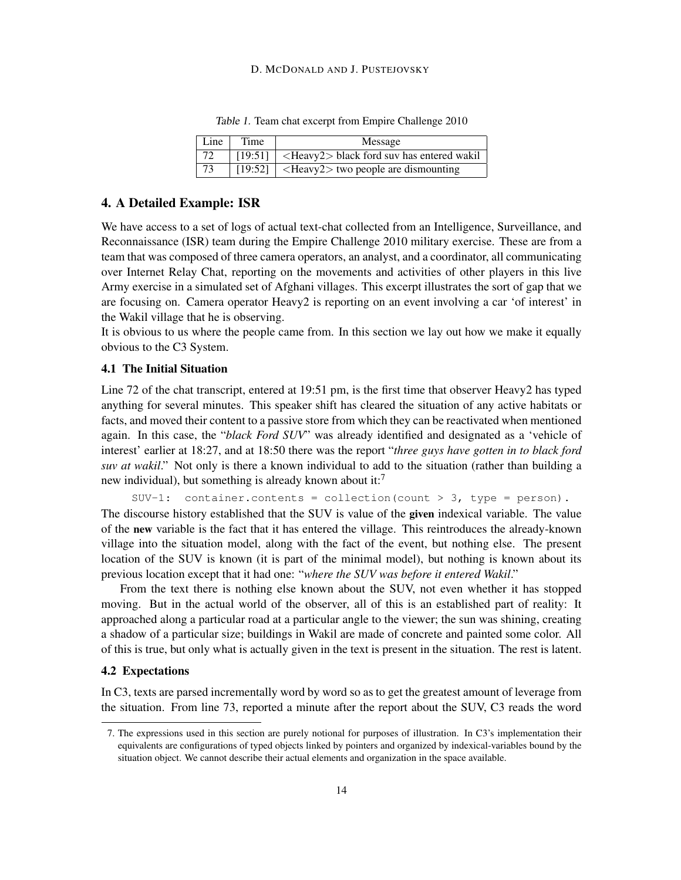#### D. MCDONALD AND J. PUSTEJOVSKY

| Line | Time | Message                                                      |
|------|------|--------------------------------------------------------------|
| 72   |      | $[19:51]$ <heavy2> black ford suv has entered wakil</heavy2> |
| 73   |      | [19:52]   $\leq$ Heavy2 $>$ two people are dismounting       |

Table 1. Team chat excerpt from Empire Challenge 2010

#### 4. A Detailed Example: ISR

We have access to a set of logs of actual text-chat collected from an Intelligence, Surveillance, and Reconnaissance (ISR) team during the Empire Challenge 2010 military exercise. These are from a team that was composed of three camera operators, an analyst, and a coordinator, all communicating over Internet Relay Chat, reporting on the movements and activities of other players in this live Army exercise in a simulated set of Afghani villages. This excerpt illustrates the sort of gap that we are focusing on. Camera operator Heavy2 is reporting on an event involving a car 'of interest' in the Wakil village that he is observing.

It is obvious to us where the people came from. In this section we lay out how we make it equally obvious to the C3 System.

## 4.1 The Initial Situation

Line 72 of the chat transcript, entered at 19:51 pm, is the first time that observer Heavy2 has typed anything for several minutes. This speaker shift has cleared the situation of any active habitats or facts, and moved their content to a passive store from which they can be reactivated when mentioned again. In this case, the "*black Ford SUV*" was already identified and designated as a 'vehicle of interest' earlier at 18:27, and at 18:50 there was the report "*three guys have gotten in to black ford suv at wakil*." Not only is there a known individual to add to the situation (rather than building a new individual), but something is already known about it:<sup>7</sup>

SUV-1: container.contents = collection(count > 3, type = person). The discourse history established that the SUV is value of the given indexical variable. The value of the new variable is the fact that it has entered the village. This reintroduces the already-known village into the situation model, along with the fact of the event, but nothing else. The present location of the SUV is known (it is part of the minimal model), but nothing is known about its previous location except that it had one: "*where the SUV was before it entered Wakil*."

From the text there is nothing else known about the SUV, not even whether it has stopped moving. But in the actual world of the observer, all of this is an established part of reality: It approached along a particular road at a particular angle to the viewer; the sun was shining, creating a shadow of a particular size; buildings in Wakil are made of concrete and painted some color. All of this is true, but only what is actually given in the text is present in the situation. The rest is latent.

#### 4.2 Expectations

In C3, texts are parsed incrementally word by word so as to get the greatest amount of leverage from the situation. From line 73, reported a minute after the report about the SUV, C3 reads the word

<sup>7.</sup> The expressions used in this section are purely notional for purposes of illustration. In C3's implementation their equivalents are configurations of typed objects linked by pointers and organized by indexical-variables bound by the situation object. We cannot describe their actual elements and organization in the space available.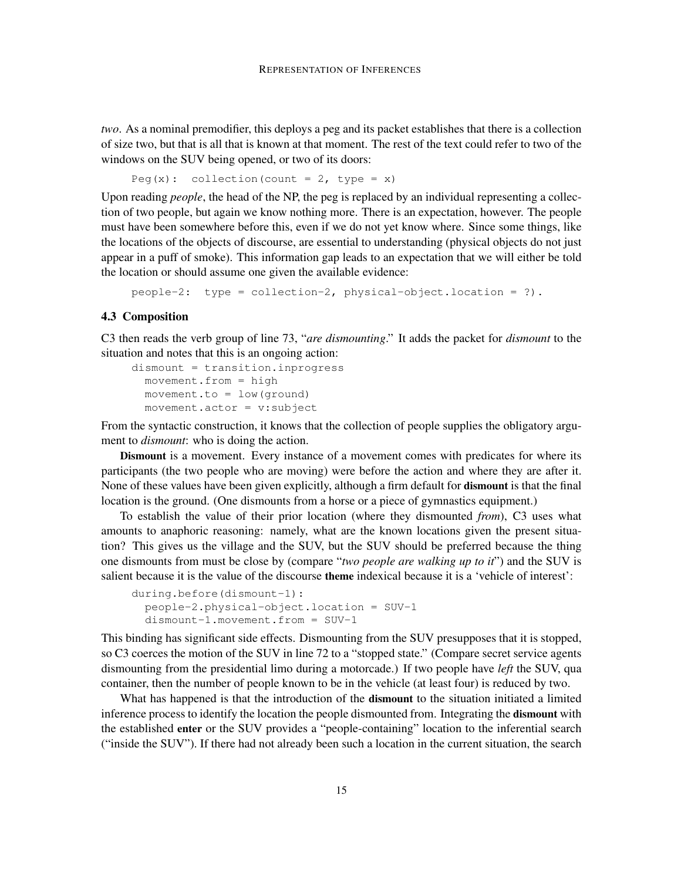*two*. As a nominal premodifier, this deploys a peg and its packet establishes that there is a collection of size two, but that is all that is known at that moment. The rest of the text could refer to two of the windows on the SUV being opened, or two of its doors:

```
Peg(x): collection(count = 2, type = x)
```
Upon reading *people*, the head of the NP, the peg is replaced by an individual representing a collection of two people, but again we know nothing more. There is an expectation, however. The people must have been somewhere before this, even if we do not yet know where. Since some things, like the locations of the objects of discourse, are essential to understanding (physical objects do not just appear in a puff of smoke). This information gap leads to an expectation that we will either be told the location or should assume one given the available evidence:

people-2: type = collection-2, physical-object.location = ?).

#### 4.3 Composition

C3 then reads the verb group of line 73, "*are dismounting*." It adds the packet for *dismount* to the situation and notes that this is an ongoing action:

```
dismount = transition.inprogress
movement.from = high
movement.to = low(ground)
 movement.actor = v:subject
```
From the syntactic construction, it knows that the collection of people supplies the obligatory argument to *dismount*: who is doing the action.

Dismount is a movement. Every instance of a movement comes with predicates for where its participants (the two people who are moving) were before the action and where they are after it. None of these values have been given explicitly, although a firm default for dismount is that the final location is the ground. (One dismounts from a horse or a piece of gymnastics equipment.)

To establish the value of their prior location (where they dismounted *from*), C3 uses what amounts to anaphoric reasoning: namely, what are the known locations given the present situation? This gives us the village and the SUV, but the SUV should be preferred because the thing one dismounts from must be close by (compare "*two people are walking up to it*") and the SUV is salient because it is the value of the discourse theme indexical because it is a 'vehicle of interest':

```
during.before(dismount-1):
people-2.physical-object.location = SUV-1
dismount-1.movement.from = SUV-1
```
This binding has significant side effects. Dismounting from the SUV presupposes that it is stopped, so C3 coerces the motion of the SUV in line 72 to a "stopped state." (Compare secret service agents dismounting from the presidential limo during a motorcade.) If two people have *left* the SUV, qua container, then the number of people known to be in the vehicle (at least four) is reduced by two.

What has happened is that the introduction of the **dismount** to the situation initiated a limited inference process to identify the location the people dismounted from. Integrating the dismount with the established enter or the SUV provides a "people-containing" location to the inferential search ("inside the SUV"). If there had not already been such a location in the current situation, the search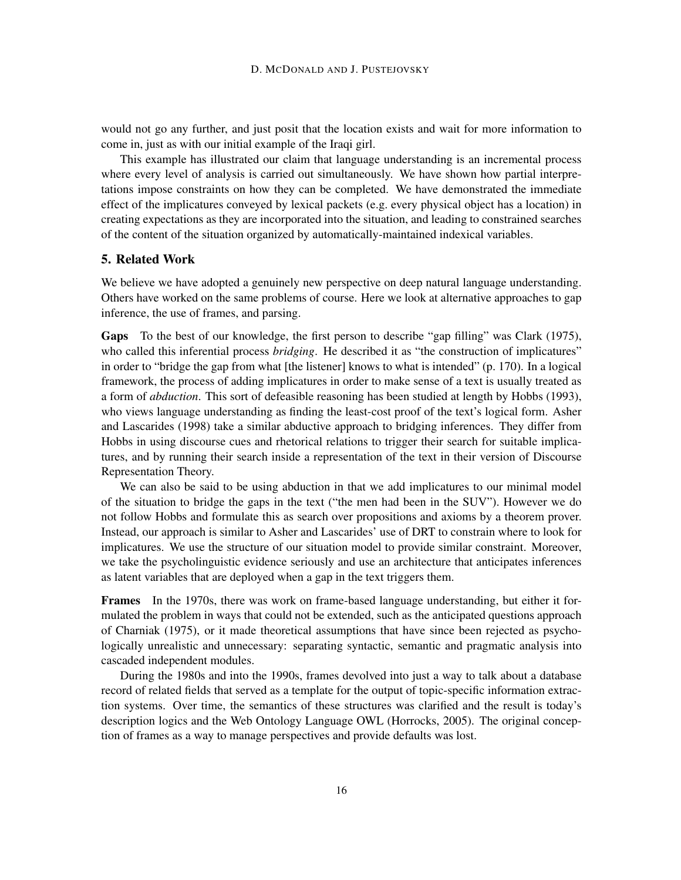would not go any further, and just posit that the location exists and wait for more information to come in, just as with our initial example of the Iraqi girl.

This example has illustrated our claim that language understanding is an incremental process where every level of analysis is carried out simultaneously. We have shown how partial interpretations impose constraints on how they can be completed. We have demonstrated the immediate effect of the implicatures conveyed by lexical packets (e.g. every physical object has a location) in creating expectations as they are incorporated into the situation, and leading to constrained searches of the content of the situation organized by automatically-maintained indexical variables.

#### 5. Related Work

We believe we have adopted a genuinely new perspective on deep natural language understanding. Others have worked on the same problems of course. Here we look at alternative approaches to gap inference, the use of frames, and parsing.

Gaps To the best of our knowledge, the first person to describe "gap filling" was Clark (1975), who called this inferential process *bridging*. He described it as "the construction of implicatures" in order to "bridge the gap from what [the listener] knows to what is intended" (p. 170). In a logical framework, the process of adding implicatures in order to make sense of a text is usually treated as a form of *abduction*. This sort of defeasible reasoning has been studied at length by Hobbs (1993), who views language understanding as finding the least-cost proof of the text's logical form. Asher and Lascarides (1998) take a similar abductive approach to bridging inferences. They differ from Hobbs in using discourse cues and rhetorical relations to trigger their search for suitable implicatures, and by running their search inside a representation of the text in their version of Discourse Representation Theory.

We can also be said to be using abduction in that we add implicatures to our minimal model of the situation to bridge the gaps in the text ("the men had been in the SUV"). However we do not follow Hobbs and formulate this as search over propositions and axioms by a theorem prover. Instead, our approach is similar to Asher and Lascarides' use of DRT to constrain where to look for implicatures. We use the structure of our situation model to provide similar constraint. Moreover, we take the psycholinguistic evidence seriously and use an architecture that anticipates inferences as latent variables that are deployed when a gap in the text triggers them.

Frames In the 1970s, there was work on frame-based language understanding, but either it formulated the problem in ways that could not be extended, such as the anticipated questions approach of Charniak (1975), or it made theoretical assumptions that have since been rejected as psychologically unrealistic and unnecessary: separating syntactic, semantic and pragmatic analysis into cascaded independent modules.

During the 1980s and into the 1990s, frames devolved into just a way to talk about a database record of related fields that served as a template for the output of topic-specific information extraction systems. Over time, the semantics of these structures was clarified and the result is today's description logics and the Web Ontology Language OWL (Horrocks, 2005). The original conception of frames as a way to manage perspectives and provide defaults was lost.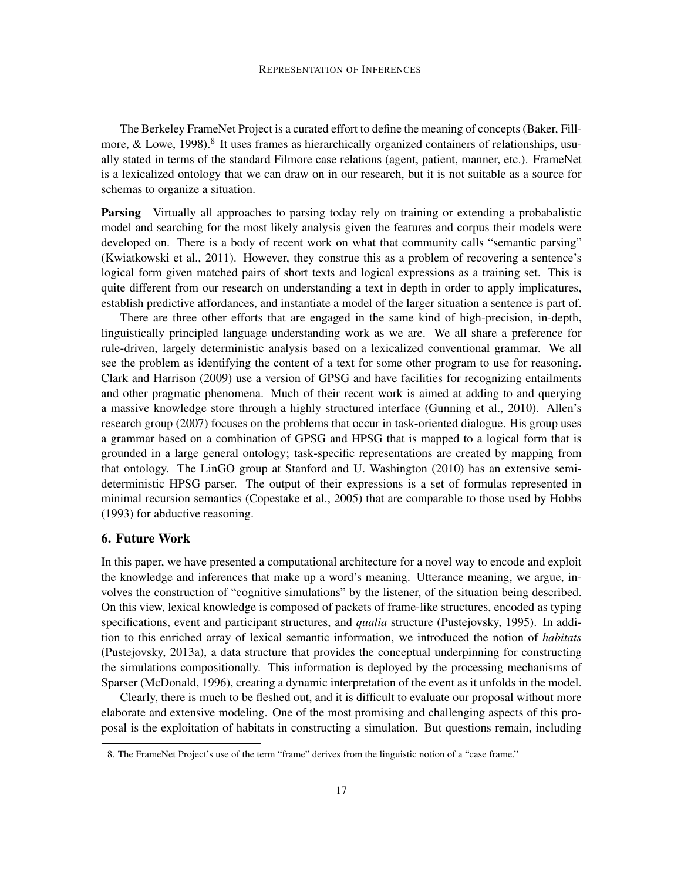The Berkeley FrameNet Project is a curated effort to define the meaning of concepts (Baker, Fillmore, & Lowe, 1998).<sup>8</sup> It uses frames as hierarchically organized containers of relationships, usually stated in terms of the standard Filmore case relations (agent, patient, manner, etc.). FrameNet is a lexicalized ontology that we can draw on in our research, but it is not suitable as a source for schemas to organize a situation.

Parsing Virtually all approaches to parsing today rely on training or extending a probabalistic model and searching for the most likely analysis given the features and corpus their models were developed on. There is a body of recent work on what that community calls "semantic parsing" (Kwiatkowski et al., 2011). However, they construe this as a problem of recovering a sentence's logical form given matched pairs of short texts and logical expressions as a training set. This is quite different from our research on understanding a text in depth in order to apply implicatures, establish predictive affordances, and instantiate a model of the larger situation a sentence is part of.

There are three other efforts that are engaged in the same kind of high-precision, in-depth, linguistically principled language understanding work as we are. We all share a preference for rule-driven, largely deterministic analysis based on a lexicalized conventional grammar. We all see the problem as identifying the content of a text for some other program to use for reasoning. Clark and Harrison (2009) use a version of GPSG and have facilities for recognizing entailments and other pragmatic phenomena. Much of their recent work is aimed at adding to and querying a massive knowledge store through a highly structured interface (Gunning et al., 2010). Allen's research group (2007) focuses on the problems that occur in task-oriented dialogue. His group uses a grammar based on a combination of GPSG and HPSG that is mapped to a logical form that is grounded in a large general ontology; task-specific representations are created by mapping from that ontology. The LinGO group at Stanford and U. Washington (2010) has an extensive semideterministic HPSG parser. The output of their expressions is a set of formulas represented in minimal recursion semantics (Copestake et al., 2005) that are comparable to those used by Hobbs (1993) for abductive reasoning.

#### 6. Future Work

In this paper, we have presented a computational architecture for a novel way to encode and exploit the knowledge and inferences that make up a word's meaning. Utterance meaning, we argue, involves the construction of "cognitive simulations" by the listener, of the situation being described. On this view, lexical knowledge is composed of packets of frame-like structures, encoded as typing specifications, event and participant structures, and *qualia* structure (Pustejovsky, 1995). In addition to this enriched array of lexical semantic information, we introduced the notion of *habitats* (Pustejovsky, 2013a), a data structure that provides the conceptual underpinning for constructing the simulations compositionally. This information is deployed by the processing mechanisms of Sparser (McDonald, 1996), creating a dynamic interpretation of the event as it unfolds in the model.

Clearly, there is much to be fleshed out, and it is difficult to evaluate our proposal without more elaborate and extensive modeling. One of the most promising and challenging aspects of this proposal is the exploitation of habitats in constructing a simulation. But questions remain, including

<sup>8.</sup> The FrameNet Project's use of the term "frame" derives from the linguistic notion of a "case frame."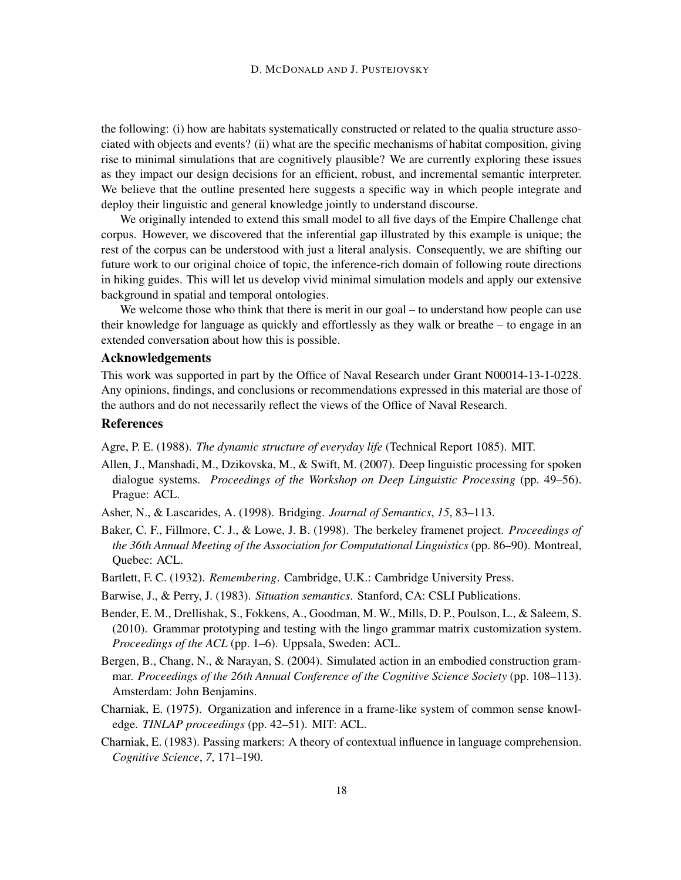the following: (i) how are habitats systematically constructed or related to the qualia structure associated with objects and events? (ii) what are the specific mechanisms of habitat composition, giving rise to minimal simulations that are cognitively plausible? We are currently exploring these issues as they impact our design decisions for an efficient, robust, and incremental semantic interpreter. We believe that the outline presented here suggests a specific way in which people integrate and deploy their linguistic and general knowledge jointly to understand discourse.

We originally intended to extend this small model to all five days of the Empire Challenge chat corpus. However, we discovered that the inferential gap illustrated by this example is unique; the rest of the corpus can be understood with just a literal analysis. Consequently, we are shifting our future work to our original choice of topic, the inference-rich domain of following route directions in hiking guides. This will let us develop vivid minimal simulation models and apply our extensive background in spatial and temporal ontologies.

We welcome those who think that there is merit in our goal – to understand how people can use their knowledge for language as quickly and effortlessly as they walk or breathe – to engage in an extended conversation about how this is possible.

#### Acknowledgements

This work was supported in part by the Office of Naval Research under Grant N00014-13-1-0228. Any opinions, findings, and conclusions or recommendations expressed in this material are those of the authors and do not necessarily reflect the views of the Office of Naval Research.

#### References

Agre, P. E. (1988). *The dynamic structure of everyday life* (Technical Report 1085). MIT.

- Allen, J., Manshadi, M., Dzikovska, M., & Swift, M. (2007). Deep linguistic processing for spoken dialogue systems. *Proceedings of the Workshop on Deep Linguistic Processing* (pp. 49–56). Prague: ACL.
- Asher, N., & Lascarides, A. (1998). Bridging. *Journal of Semantics*, *15*, 83–113.
- Baker, C. F., Fillmore, C. J., & Lowe, J. B. (1998). The berkeley framenet project. *Proceedings of the 36th Annual Meeting of the Association for Computational Linguistics* (pp. 86–90). Montreal, Quebec: ACL.
- Bartlett, F. C. (1932). *Remembering*. Cambridge, U.K.: Cambridge University Press.
- Barwise, J., & Perry, J. (1983). *Situation semantics*. Stanford, CA: CSLI Publications.
- Bender, E. M., Drellishak, S., Fokkens, A., Goodman, M. W., Mills, D. P., Poulson, L., & Saleem, S. (2010). Grammar prototyping and testing with the lingo grammar matrix customization system. *Proceedings of the ACL* (pp. 1–6). Uppsala, Sweden: ACL.
- Bergen, B., Chang, N., & Narayan, S. (2004). Simulated action in an embodied construction grammar. *Proceedings of the 26th Annual Conference of the Cognitive Science Society* (pp. 108–113). Amsterdam: John Benjamins.
- Charniak, E. (1975). Organization and inference in a frame-like system of common sense knowledge. *TINLAP proceedings* (pp. 42–51). MIT: ACL.
- Charniak, E. (1983). Passing markers: A theory of contextual influence in language comprehension. *Cognitive Science*, *7*, 171–190.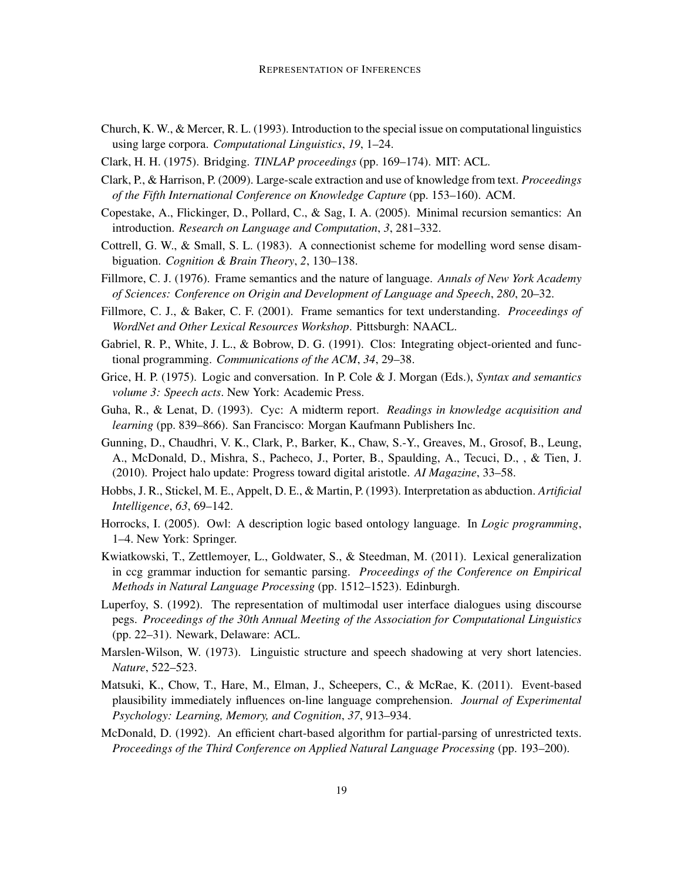- Church, K. W., & Mercer, R. L. (1993). Introduction to the special issue on computational linguistics using large corpora. *Computational Linguistics*, *19*, 1–24.
- Clark, H. H. (1975). Bridging. *TINLAP proceedings* (pp. 169–174). MIT: ACL.
- Clark, P., & Harrison, P. (2009). Large-scale extraction and use of knowledge from text. *Proceedings of the Fifth International Conference on Knowledge Capture* (pp. 153–160). ACM.
- Copestake, A., Flickinger, D., Pollard, C., & Sag, I. A. (2005). Minimal recursion semantics: An introduction. *Research on Language and Computation*, *3*, 281–332.
- Cottrell, G. W., & Small, S. L. (1983). A connectionist scheme for modelling word sense disambiguation. *Cognition & Brain Theory*, *2*, 130–138.
- Fillmore, C. J. (1976). Frame semantics and the nature of language. *Annals of New York Academy of Sciences: Conference on Origin and Development of Language and Speech*, *280*, 20–32.
- Fillmore, C. J., & Baker, C. F. (2001). Frame semantics for text understanding. *Proceedings of WordNet and Other Lexical Resources Workshop*. Pittsburgh: NAACL.
- Gabriel, R. P., White, J. L., & Bobrow, D. G. (1991). Clos: Integrating object-oriented and functional programming. *Communications of the ACM*, *34*, 29–38.
- Grice, H. P. (1975). Logic and conversation. In P. Cole & J. Morgan (Eds.), *Syntax and semantics volume 3: Speech acts*. New York: Academic Press.
- Guha, R., & Lenat, D. (1993). Cyc: A midterm report. *Readings in knowledge acquisition and learning* (pp. 839–866). San Francisco: Morgan Kaufmann Publishers Inc.
- Gunning, D., Chaudhri, V. K., Clark, P., Barker, K., Chaw, S.-Y., Greaves, M., Grosof, B., Leung, A., McDonald, D., Mishra, S., Pacheco, J., Porter, B., Spaulding, A., Tecuci, D., , & Tien, J. (2010). Project halo update: Progress toward digital aristotle. *AI Magazine*, 33–58.
- Hobbs, J. R., Stickel, M. E., Appelt, D. E., & Martin, P. (1993). Interpretation as abduction. *Artificial Intelligence*, *63*, 69–142.
- Horrocks, I. (2005). Owl: A description logic based ontology language. In *Logic programming*, 1–4. New York: Springer.
- Kwiatkowski, T., Zettlemoyer, L., Goldwater, S., & Steedman, M. (2011). Lexical generalization in ccg grammar induction for semantic parsing. *Proceedings of the Conference on Empirical Methods in Natural Language Processing* (pp. 1512–1523). Edinburgh.
- Luperfoy, S. (1992). The representation of multimodal user interface dialogues using discourse pegs. *Proceedings of the 30th Annual Meeting of the Association for Computational Linguistics* (pp. 22–31). Newark, Delaware: ACL.
- Marslen-Wilson, W. (1973). Linguistic structure and speech shadowing at very short latencies. *Nature*, 522–523.
- Matsuki, K., Chow, T., Hare, M., Elman, J., Scheepers, C., & McRae, K. (2011). Event-based plausibility immediately influences on-line language comprehension. *Journal of Experimental Psychology: Learning, Memory, and Cognition*, *37*, 913–934.
- McDonald, D. (1992). An efficient chart-based algorithm for partial-parsing of unrestricted texts. *Proceedings of the Third Conference on Applied Natural Language Processing* (pp. 193–200).